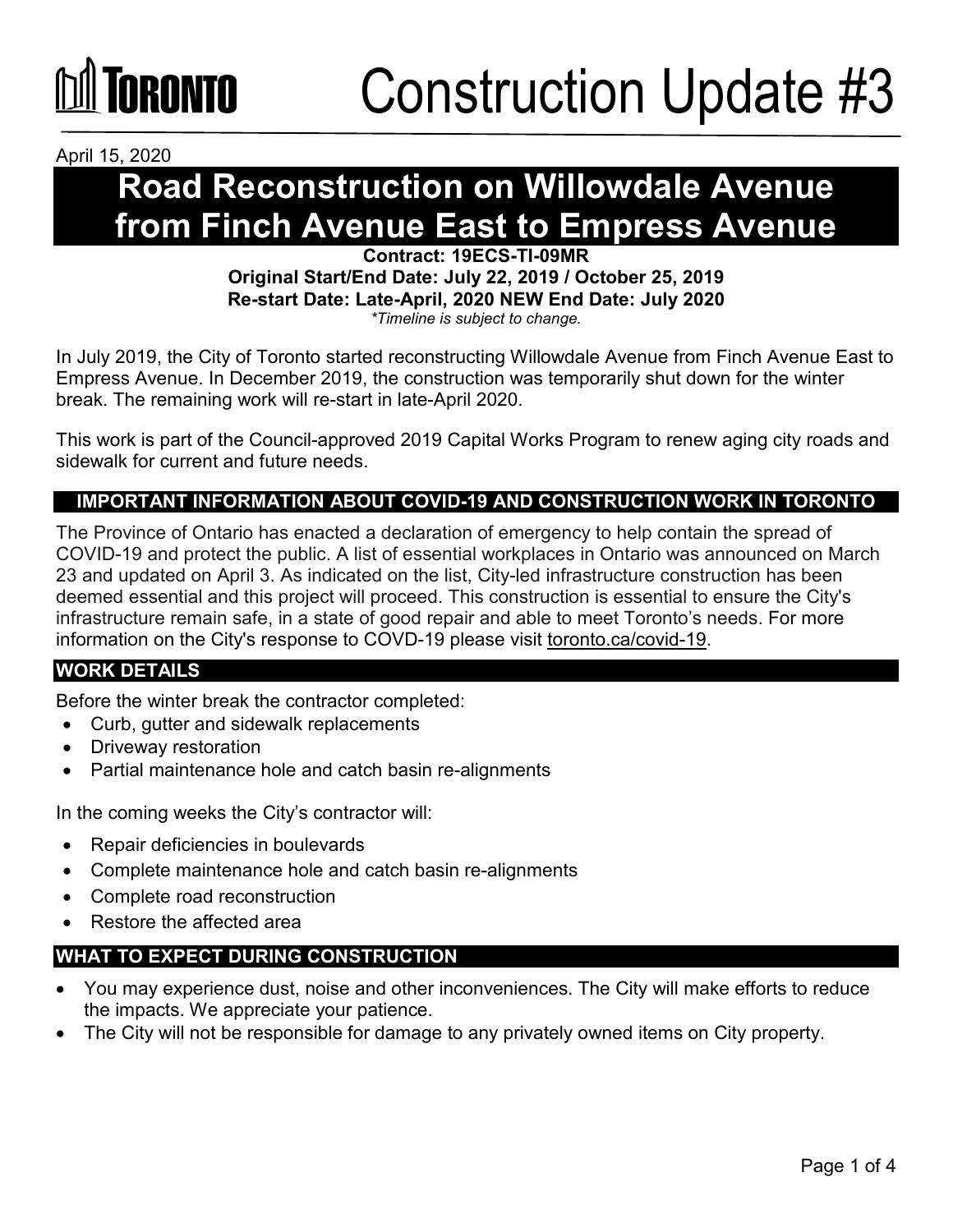

April 15, 2020

## **Road Reconstruction on Willowdale Avenue from Finch Avenue East to Empress Avenue**

**Contract: 19ECS-TI-09MR Original Start/End Date: July 22, 2019 / October 25, 2019 Re-start Date: Late-April, 2020 NEW End Date: July 2020** *\*Timeline is subject to change.*

In July 2019, the City of Toronto started reconstructing Willowdale Avenue from Finch Avenue East to Empress Avenue. In December 2019, the construction was temporarily shut down for the winter break. The remaining work will re-start in late-April 2020.

This work is part of the Council-approved 2019 Capital Works Program to renew aging city roads and sidewalk for current and future needs.

### **IMPORTANT INFORMATION ABOUT COVID-19 AND CONSTRUCTION WORK IN TORONTO**

The Province of Ontario has enacted a declaration of emergency to help contain the spread of COVID-19 and protect the public. A list of essential workplaces in Ontario was announced on March 23 and updated on April 3. As indicated on the list, City-led infrastructure construction has been deemed essential and this project will proceed. This construction is essential to ensure the City's infrastructure remain safe, in a state of good repair and able to meet Toronto's needs. For more information on the City's response to COVD-19 please visit [toronto.ca/covid-19.](http://www.toronto.ca/covid-19)

### **WORK DETAILS**

Before the winter break the contractor completed:

- Curb, gutter and sidewalk replacements
- Driveway restoration
- Partial maintenance hole and catch basin re-alignments

In the coming weeks the City's contractor will:

- Repair deficiencies in boulevards
- Complete maintenance hole and catch basin re-alignments
- Complete road reconstruction
- Restore the affected area

### **WHAT TO EXPECT DURING CONSTRUCTION**

- You may experience dust, noise and other inconveniences. The City will make efforts to reduce the impacts. We appreciate your patience.
- The City will not be responsible for damage to any privately owned items on City property.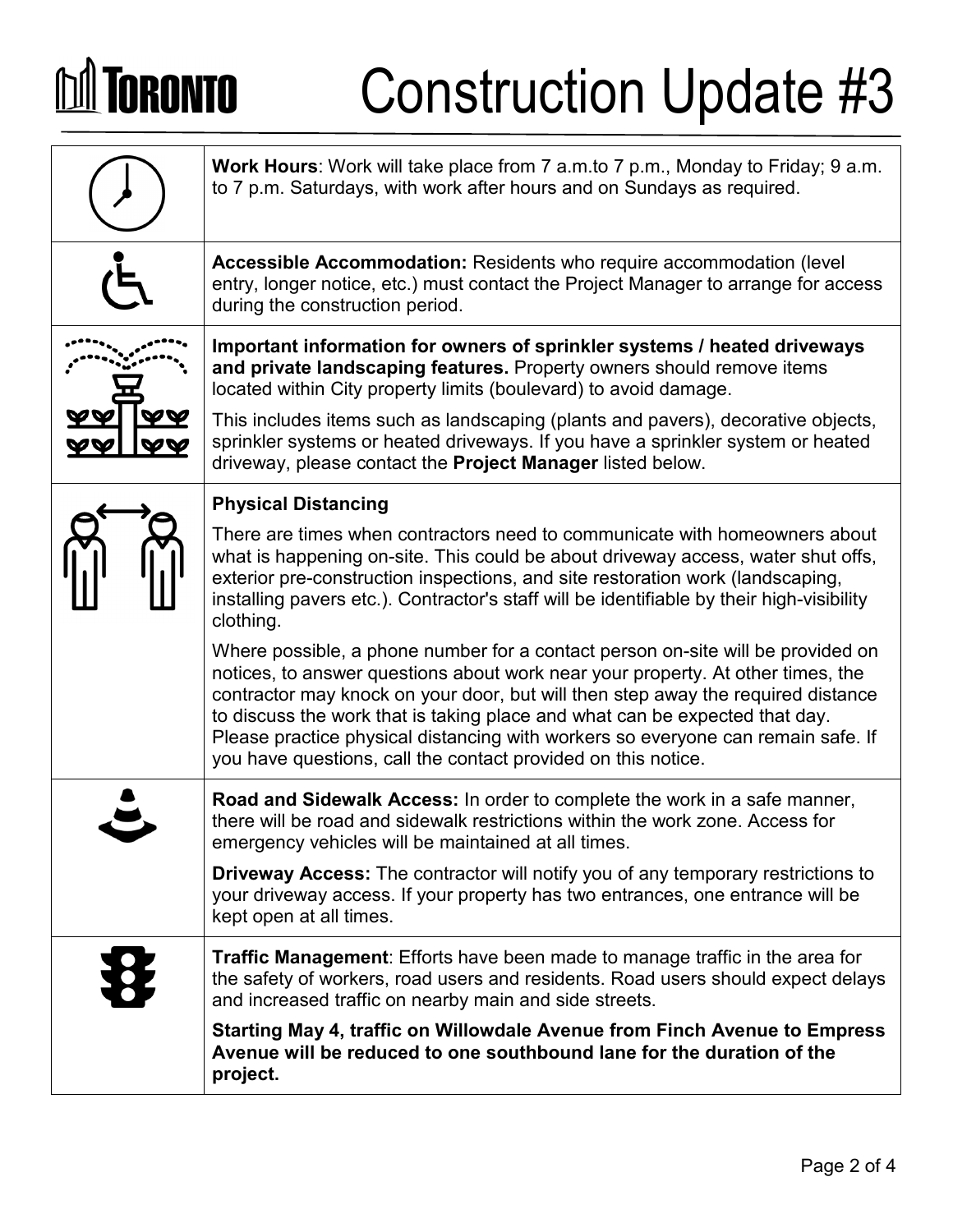# **DA TORONTO**

## Construction Update #3

| <b>Work Hours:</b> Work will take place from 7 a.m.to 7 p.m., Monday to Friday; 9 a.m.<br>to 7 p.m. Saturdays, with work after hours and on Sundays as required.                                                                                                                                                                                                                                                                                                                           |
|--------------------------------------------------------------------------------------------------------------------------------------------------------------------------------------------------------------------------------------------------------------------------------------------------------------------------------------------------------------------------------------------------------------------------------------------------------------------------------------------|
| Accessible Accommodation: Residents who require accommodation (level<br>entry, longer notice, etc.) must contact the Project Manager to arrange for access<br>during the construction period.                                                                                                                                                                                                                                                                                              |
| Important information for owners of sprinkler systems / heated driveways<br>and private landscaping features. Property owners should remove items<br>located within City property limits (boulevard) to avoid damage.                                                                                                                                                                                                                                                                      |
| This includes items such as landscaping (plants and pavers), decorative objects,<br>sprinkler systems or heated driveways. If you have a sprinkler system or heated<br>driveway, please contact the Project Manager listed below.                                                                                                                                                                                                                                                          |
| <b>Physical Distancing</b>                                                                                                                                                                                                                                                                                                                                                                                                                                                                 |
| There are times when contractors need to communicate with homeowners about<br>what is happening on-site. This could be about driveway access, water shut offs,<br>exterior pre-construction inspections, and site restoration work (landscaping,<br>installing pavers etc.). Contractor's staff will be identifiable by their high-visibility<br>clothing.                                                                                                                                 |
| Where possible, a phone number for a contact person on-site will be provided on<br>notices, to answer questions about work near your property. At other times, the<br>contractor may knock on your door, but will then step away the required distance<br>to discuss the work that is taking place and what can be expected that day.<br>Please practice physical distancing with workers so everyone can remain safe. If<br>you have questions, call the contact provided on this notice. |
| Road and Sidewalk Access: In order to complete the work in a safe manner,<br>there will be road and sidewalk restrictions within the work zone. Access for<br>emergency vehicles will be maintained at all times.                                                                                                                                                                                                                                                                          |
| <b>Driveway Access:</b> The contractor will notify you of any temporary restrictions to<br>your driveway access. If your property has two entrances, one entrance will be<br>kept open at all times.                                                                                                                                                                                                                                                                                       |
| <b>Traffic Management:</b> Efforts have been made to manage traffic in the area for<br>the safety of workers, road users and residents. Road users should expect delays<br>and increased traffic on nearby main and side streets.                                                                                                                                                                                                                                                          |
| Starting May 4, traffic on Willowdale Avenue from Finch Avenue to Empress<br>Avenue will be reduced to one southbound lane for the duration of the<br>project.                                                                                                                                                                                                                                                                                                                             |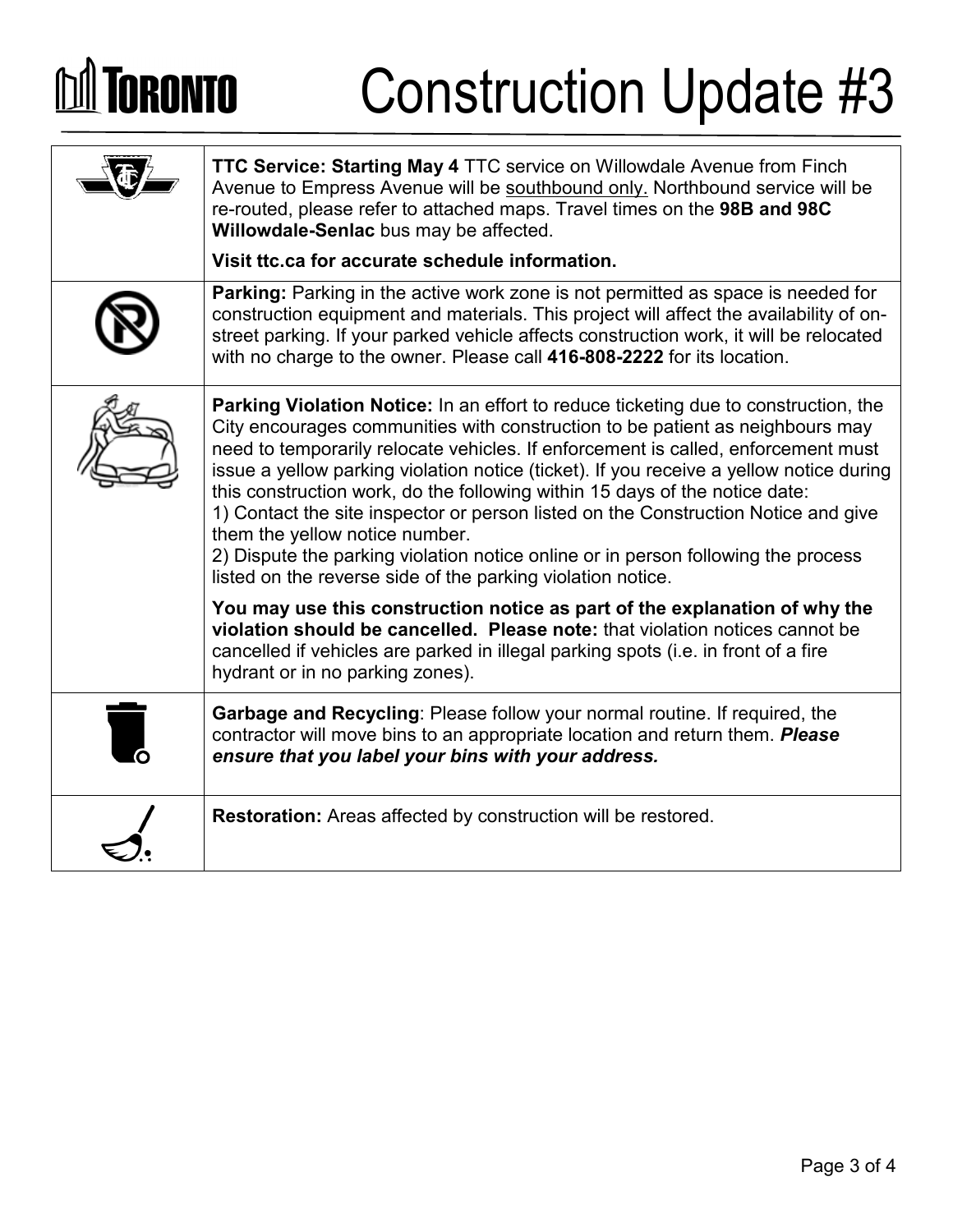## **M** TORONTO Construction Update #3 **TTC Service: Starting May 4** TTC service on Willowdale Avenue from Finch Avenue to Empress Avenue will be southbound only. Northbound service will be re-routed, please refer to attached maps. Travel times on the **98B and 98C Willowdale-Senlac** bus may be affected. **Visit ttc.ca for accurate schedule information. Parking:** Parking in the active work zone is not permitted as space is needed for construction equipment and materials. This project will affect the availability of onstreet parking. If your parked vehicle affects construction work, it will be relocated with no charge to the owner. Please call **416-808-2222** for its location. **Parking Violation Notice:** In an effort to reduce ticketing due to construction, the

City encourages communities with construction to be patient as neighbours may need to temporarily relocate vehicles. If enforcement is called, enforcement must issue a yellow parking violation notice (ticket). If you receive a yellow notice during this construction work, do the following within 15 days of the notice date: 1) Contact the site inspector or person listed on the Construction Notice and give them the yellow notice number.

2) Dispute the parking violation notice online or in person following the process listed on the reverse side of the parking violation notice.

**You may use this construction notice as part of the explanation of why the violation should be cancelled. Please note:** that violation notices cannot be cancelled if vehicles are parked in illegal parking spots (i.e. in front of a fire hydrant or in no parking zones).

**Garbage and Recycling**: Please follow your normal routine. If required, the contractor will move bins to an appropriate location and return them. *Please ensure that you label your bins with your address.*

**Restoration:** Areas affected by construction will be restored.